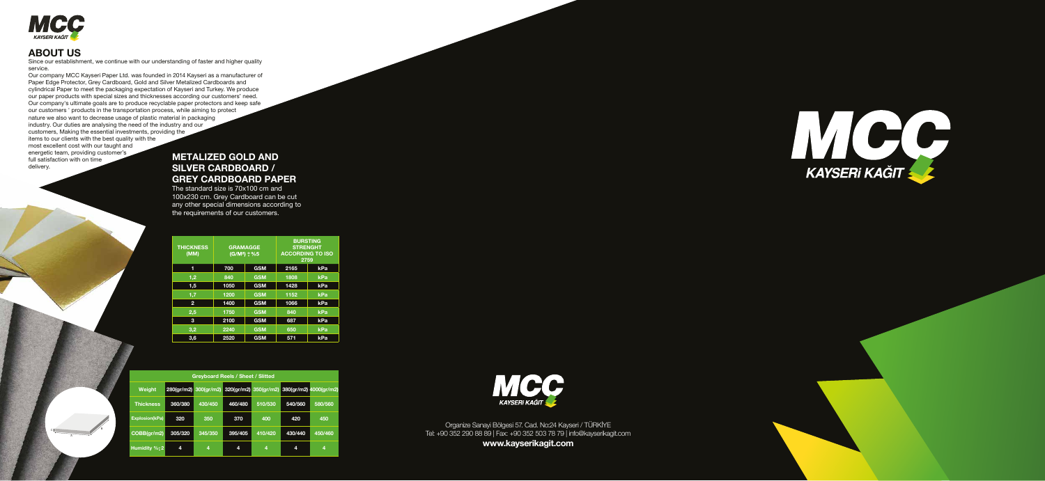

## **ABOUT US**

Since our establishment, we continue with our understanding of faster and higher quality service.

Our company MCC Kayseri Paper Ltd. was founded in 2014 Kayseri as a manufacturer of Paper Edge Protector, Grey Cardboard, Gold and Silver Metalized Cardboards and cylindrical Paper to meet the packaging expectation of Kayseri and Turkey. We produce our paper products with special sizes and thicknesses according our customers' need. Our company's ultimate goals are to produce recyclable paper protectors and keep safe our customers ' products in the transportation process, while aiming to protect nature we also want to decrease usage of plastic material in packaging industry. Our duties are analysing the need of the industry and our customers, Making the essential investments, providing the items to our clients with the best quality with the most excellent cost with our taught and

energetic team, providing customer's full satisfaction with on time delivery.

> Organize Sanayi Bölgesi 57. Cad. No:24 Kayseri / TÜRKİYE Tel: +90 352 290 88 89 | Fax: +90 352 503 78 79 | info@kayserikagit.com

**www.kayserikagit.com**





### **METALIZED GOLD AND SILVER CARDBOARD / GREY CARDBOARD PAPER**

The standard size is 70x100 cm and 100x230 cm. Grey Cardboard can be cut any other special dimensions according to the requirements of our customers.

C

A

B

| <b>THICKNESS</b><br>(MM) | <b>GRAMAGGE</b><br>$(G/M2) \pm \%5$ |            | <b>BURSTING</b><br><b>STRENGHT</b><br><b>ACCORDING TO ISO</b><br>2759 |     |
|--------------------------|-------------------------------------|------------|-----------------------------------------------------------------------|-----|
| 1                        | 700                                 | <b>GSM</b> | 2165                                                                  | kPa |
| 1,2                      | 840                                 | <b>GSM</b> | 1808                                                                  | kPa |
| 1,5                      | 1050                                | <b>GSM</b> | 1428                                                                  | kPa |
| 1,7                      | 1200                                | <b>GSM</b> | 1152                                                                  | kPa |
| $\overline{2}$           | 1400                                | <b>GSM</b> | 1066                                                                  | kPa |
| 2,5                      | 1750                                | <b>GSM</b> | 840                                                                   | kPa |
| 3                        | 2100                                | <b>GSM</b> | 687                                                                   | kPa |
| 3,2                      | 2240                                | <b>GSM</b> | 650                                                                   | kPa |
| 3,6                      | 2520                                | <b>GSM</b> | 571                                                                   | kPa |

| <b>Greyboard Reels / Sheet / Slitted</b> |                                             |         |         |         |         |                        |
|------------------------------------------|---------------------------------------------|---------|---------|---------|---------|------------------------|
| <b>Weight</b>                            | 280(gr/m2) 300(gr/m2) 320(gr/m2) 350(gr/m2) |         |         |         |         | 380(gr/m2) 4000(gr/m2) |
| <b>Thickness</b>                         | 360/380                                     | 430/450 | 460/480 | 510/530 | 540/560 | 580/560                |
| <b>Explosion(kPa)</b>                    | 320                                         | 350     | 370     | 400     | 420     | 450                    |
| COBB(gr/m2)                              | 305/320                                     | 345/350 | 395/405 | 410/420 | 430/440 | 450/460                |
| Humidity % <sup>+2</sup>                 | 4                                           | 4       | 4       | 4       | 4       | 4                      |